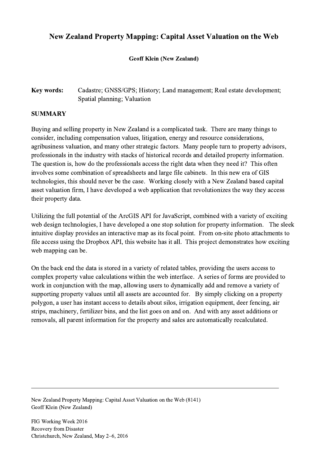## New Zealand Property Mapping: Capital Asset Valuation on the Web

## Geoff Klein (New Zealand)

## Key words: Cadastre; GNSS/GPS; History; Land management; Real estate development; Spatial planning; Valuation

## SUMMARY

Buying and selling property in New Zealand is a complicated task. There are many things to consider, including compensation values, litigation, energy and resource considerations, agribusiness valuation, and many other strategic factors. Many people turn to property advisors, professionals in the industry with stacks of historical records and detailed property information. The question is, how do the professionals access the right data when they need it? This often involves some combination of spreadsheets and large file cabinets. In this new era of GIS technologies, this should never be the case. Working closely with a New Zealand based capital asset valuation firm, I have developed a web application that revolutionizes the way they access their property data.

Utilizing the full potential of the ArcGIS API for JavaScript, combined with a variety of exciting web design technologies, I have developed a one stop solution for property information. The sleek intuitive display provides an interactive map as its focal point. From on-site photo attachments to file access using the Dropbox API, this website has it all. This project demonstrates how exciting web mapping can be.

On the back end the data is stored in a variety of related tables, providing the users access to complex property value calculations within the web interface. A series of forms are provided to work in conjunction with the map, allowing users to dynamically add and remove a variety of supporting property values until all assets are accounted for. By simply clicking on a property polygon, a user has instant access to details about silos, irrigation equipment, deer fencing, air strips, machinery, fertilizer bins, and the list goes on and on. And with any asset additions or removals, all parent information for the property and sales are automatically recalculated.

 $\mathcal{L}_\mathcal{L} = \{ \mathcal{L}_\mathcal{L} = \{ \mathcal{L}_\mathcal{L} = \{ \mathcal{L}_\mathcal{L} = \{ \mathcal{L}_\mathcal{L} = \{ \mathcal{L}_\mathcal{L} = \{ \mathcal{L}_\mathcal{L} = \{ \mathcal{L}_\mathcal{L} = \{ \mathcal{L}_\mathcal{L} = \{ \mathcal{L}_\mathcal{L} = \{ \mathcal{L}_\mathcal{L} = \{ \mathcal{L}_\mathcal{L} = \{ \mathcal{L}_\mathcal{L} = \{ \mathcal{L}_\mathcal{L} = \{ \mathcal{L}_\mathcal{$ 

New Zealand Property Mapping: Capital Asset Valuation on the Web (8141) Geoff Klein (New Zealand)

FIG Working Week 2016 Recovery from Disaster Christchurch, New Zealand, May 2–6, 2016